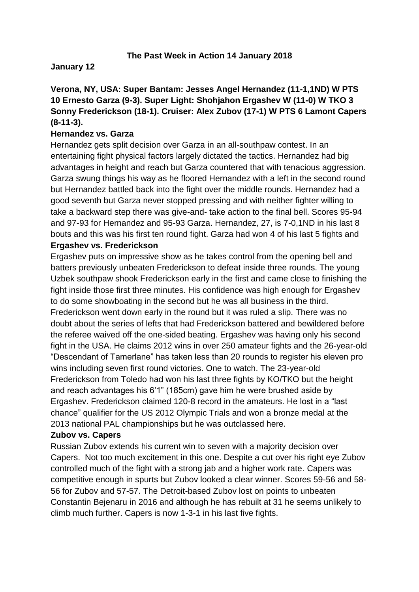#### **The Past Week in Action 14 January 2018**

#### **January 12**

## **Verona, NY, USA: Super Bantam: Jesses Angel Hernandez (11-1,1ND) W PTS 10 Ernesto Garza (9-3). Super Light: Shohjahon Ergashev W (11-0) W TKO 3 Sonny Frederickson (18-1). Cruiser: Alex Zubov (17-1) W PTS 6 Lamont Capers (8-11-3).**

#### **Hernandez vs. Garza**

Hernandez gets split decision over Garza in an all-southpaw contest. In an entertaining fight physical factors largely dictated the tactics. Hernandez had big advantages in height and reach but Garza countered that with tenacious aggression. Garza swung things his way as he floored Hernandez with a left in the second round but Hernandez battled back into the fight over the middle rounds. Hernandez had a good seventh but Garza never stopped pressing and with neither fighter willing to take a backward step there was give-and- take action to the final bell. Scores 95-94 and 97-93 for Hernandez and 95-93 Garza. Hernandez, 27, is 7-0,1ND in his last 8 bouts and this was his first ten round fight. Garza had won 4 of his last 5 fights and **Ergashev vs. Frederickson** 

Ergashev puts on impressive show as he takes control from the opening bell and batters previously unbeaten Frederickson to defeat inside three rounds. The young Uzbek southpaw shook Frederickson early in the first and came close to finishing the fight inside those first three minutes. His confidence was high enough for Ergashev to do some showboating in the second but he was all business in the third. Frederickson went down early in the round but it was ruled a slip. There was no doubt about the series of lefts that had Frederickson battered and bewildered before the referee waived off the one-sided beating. Ergashev was having only his second fight in the USA. He claims 2012 wins in over 250 amateur fights and the 26-year-old "Descendant of Tamerlane" has taken less than 20 rounds to register his eleven pro wins including seven first round victories. One to watch. The 23-year-old Frederickson from Toledo had won his last three fights by KO/TKO but the height and reach advantages his 6'1" (185cm) gave him he were brushed aside by Ergashev. Frederickson claimed 120-8 record in the amateurs. He lost in a "last chance" qualifier for the US 2012 Olympic Trials and won a bronze medal at the 2013 national PAL championships but he was outclassed here.

#### **Zubov vs. Capers**

Russian Zubov extends his current win to seven with a majority decision over Capers. Not too much excitement in this one. Despite a cut over his right eye Zubov controlled much of the fight with a strong jab and a higher work rate. Capers was competitive enough in spurts but Zubov looked a clear winner. Scores 59-56 and 58- 56 for Zubov and 57-57. The Detroit-based Zubov lost on points to unbeaten Constantin Bejenaru in 2016 and although he has rebuilt at 31 he seems unlikely to climb much further. Capers is now 1-3-1 in his last five fights.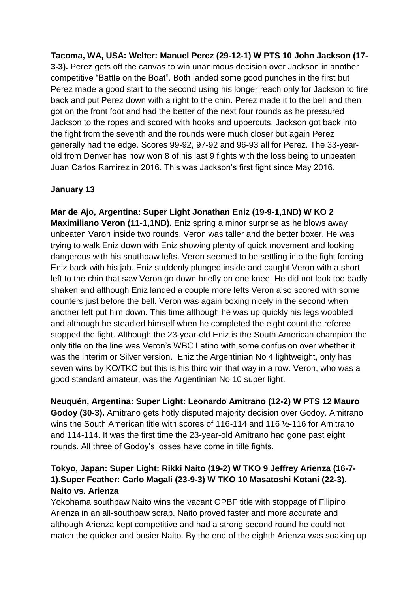**Tacoma, WA, USA: Welter: Manuel Perez (29-12-1) W PTS 10 John Jackson (17- 3-3).** Perez gets off the canvas to win unanimous decision over Jackson in another competitive "Battle on the Boat". Both landed some good punches in the first but Perez made a good start to the second using his longer reach only for Jackson to fire back and put Perez down with a right to the chin. Perez made it to the bell and then got on the front foot and had the better of the next four rounds as he pressured Jackson to the ropes and scored with hooks and uppercuts. Jackson got back into the fight from the seventh and the rounds were much closer but again Perez generally had the edge. Scores 99-92, 97-92 and 96-93 all for Perez. The 33-yearold from Denver has now won 8 of his last 9 fights with the loss being to unbeaten Juan Carlos Ramirez in 2016. This was Jackson's first fight since May 2016.

### **January 13**

**Mar de Ajo, Argentina: Super Light Jonathan Eniz (19-9-1,1ND) W KO 2 Maximiliano Veron (11-1,1ND).** Eniz spring a minor surprise as he blows away unbeaten Varon inside two rounds. Veron was taller and the better boxer. He was trying to walk Eniz down with Eniz showing plenty of quick movement and looking dangerous with his southpaw lefts. Veron seemed to be settling into the fight forcing Eniz back with his jab. Eniz suddenly plunged inside and caught Veron with a short left to the chin that saw Veron go down briefly on one knee. He did not look too badly shaken and although Eniz landed a couple more lefts Veron also scored with some counters just before the bell. Veron was again boxing nicely in the second when another left put him down. This time although he was up quickly his legs wobbled and although he steadied himself when he completed the eight count the referee stopped the fight. Although the 23-year-old Eniz is the South American champion the only title on the line was Veron's WBC Latino with some confusion over whether it was the interim or Silver version. Eniz the Argentinian No 4 lightweight, only has seven wins by KO/TKO but this is his third win that way in a row. Veron, who was a good standard amateur, was the Argentinian No 10 super light.

**Neuquén, Argentina: Super Light: Leonardo Amitrano (12-2) W PTS 12 Mauro Godoy (30-3).** Amitrano gets hotly disputed majority decision over Godoy. Amitrano wins the South American title with scores of 116-114 and 116 ½-116 for Amitrano and 114-114. It was the first time the 23-year-old Amitrano had gone past eight rounds. All three of Godoy's losses have come in title fights.

# **Tokyo, Japan: Super Light: Rikki Naito (19-2) W TKO 9 Jeffrey Arienza (16-7- 1).Super Feather: Carlo Magali (23-9-3) W TKO 10 Masatoshi Kotani (22-3). Naito vs. Arienza**

Yokohama southpaw Naito wins the vacant OPBF title with stoppage of Filipino Arienza in an all-southpaw scrap. Naito proved faster and more accurate and although Arienza kept competitive and had a strong second round he could not match the quicker and busier Naito. By the end of the eighth Arienza was soaking up